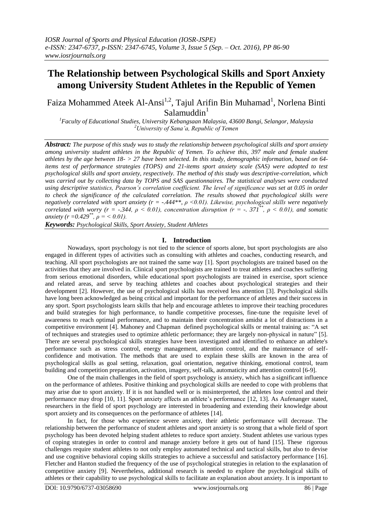# **The Relationship between Psychological Skills and Sport Anxiety among University Student Athletes in the Republic of Yemen**

Faiza Mohammed Ateek Al-Ansi<sup>1,2</sup>, Tajul Arifin Bin Muhamad<sup>1</sup>, Norlena Binti  $Salamuddin<sup>1</sup>$ 

*<sup>1</sup>Faculty of Educational Studies, University Kebangsaan Malaysia, 43600 Bangi, Selangor, Malaysia <sup>2</sup>University of Sana'a, Republic of Yemen*

*Abstract: The purpose of this study was to study the relationship between psychological skills and sport anxiety among university student athletes in the Republic of Yemen. To achieve this, 397 male and female student athletes by the age between 18- > 27 have been selected. In this study, demographic information, based on 64 items test of performance strategies (TOPS) and 21-items sport anxiety scale (SAS) were adopted to test psychological skills and sport anxiety, respectively. The method of this study was descriptive-correlation, which was carried out by collecting data by TOPS and SAS questionnaires. The statistical analyses were conducted using descriptive statistics, Pearson's correlation coefficient. The level of significance was set at 0.05 in order to check the significance of the calculated correlation. The results showed that psychological skills were negatively correlated with sport anxiety (r = -.444\*\*, ρ <0.01). Likewise, psychological skills were negatively correlated with worry (r = -.344,*  $\rho$  *< 0.01), concentration disruption (r = -. 371<sup>\*\*</sup>,*  $\rho$  *< 0.01), and somatic anxiety (r = 0.429<sup>\*\*</sup>,*  $\rho$  *= < 0.01).* 

*Keywords: Psychological Skills, Sport Anxiety, Student Athletes* 

## **I. Introduction**

Nowadays, sport psychology is not tied to the science of sports alone, but sport psychologists are also engaged in different types of activities such as consulting with athletes and coaches, conducting research, and teaching. All sport psychologists are not trained the same way [\[1\]](#page-3-0). Sport psychologists are trained based on the activities that they are involved in. Clinical sport psychologists are trained to treat athletes and coaches suffering from serious emotional disorders, while educational sport psychologists are trained in exercise, sport science and related areas, and serve by teaching athletes and coaches about psychological strategies and their development [\[2\]](#page-3-1). However, the use of psychological skills has received less attention [\[3\]](#page-3-2). Psychological skills have long been acknowledged as being critical and important for the performance of athletes and their success in any sport. Sport psychologists learn skills that help and encourage athletes to improve their teaching procedures and build strategies for high performance, to handle competitive processes, fine-tune the requisite level of awareness to reach optimal performance, and to maintain their concentration amidst a lot of distractions in a competitive environment [\[4\]](#page-3-3). Mahoney and Chapman defined psychological skills or mental training as: "A set of techniques and strategies used to optimize athletic performance; they are largely non-physical in nature" [\[5\]](#page-3-4). There are several psychological skills strategies have been investigated and identified to enhance an athlete's performance such as stress control, energy management, attention control, and the maintenance of selfconfidence and motivation. The methods that are used to explain these skills are known in the area of psychological skills as goal setting, relaxation, goal orientation, negative thinking, emotional control, team building and competition preparation, activation, imagery, self-talk, automaticity and attention control [\[6-9\]](#page-3-5).

One of the main challenges in the field of sport psychology is anxiety, which has a significant influence on the performance of athletes. Positive thinking and psychological skills are needed to cope with problems that may arise due to sport anxiety. If it is not handled well or is misinterpreted, the athletes lose control and their performance may drop [\[10,](#page-4-0) [11\]](#page-4-1). Sport anxiety affects an athlete's performance [\[12,](#page-4-2) [13\]](#page-4-3). As Aufenanger stated, researchers in the field of sport psychology are interested in broadening and extending their knowledge about sport anxiety and its consequences on the performance of athletes [\[14\]](#page-4-4).

In fact, for those who experience severe anxiety, their athletic performance will decrease. The relationship between the performance of student athletes and sport anxiety is so strong that a whole field of sport psychology has been devoted helping student athletes to reduce sport anxiety. Student athletes use various types of coping strategies in order to control and manage anxiety before it gets out of hand [\[15\]](#page-4-5). These rigorous challenges require student athletes to not only employ automated technical and tactical skills, but also to devise and use cognitive behavioral coping skills strategies to achieve a successful and satisfactory performance [\[16\]](#page-4-6). Fletcher and Hanton studied the frequency of the use of psychological strategies in relation to the explanation of competitive anxiety [\[9\]](#page-4-7). Nevertheless, additional research is needed to explore the psychological skills of athletes or their capability to use psychological skills to facilitate an explanation about anxiety. It is important to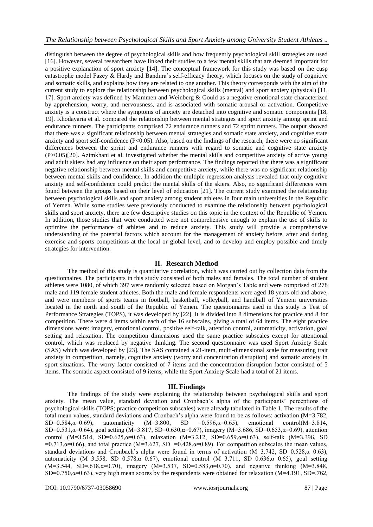distinguish between the degree of psychological skills and how frequently psychological skill strategies are used [\[16\]](#page-4-6). However, several researchers have linked their studies to a few mental skills that are deemed important for a positive explanation of sport anxiety [\[14\]](#page-4-4). The conceptual framework for this study was based on the cusp catastrophe model Fazey & Hardy and Bandura's self-efficacy theory, which focuses on the study of cognitive and somatic skills, and explains how they are related to one another. This theory corresponds with the aim of the current study to explore the relationship between psychological skills (mental) and sport anxiety (physical) [\[11,](#page-4-1) [17\]](#page-4-8). Sport anxiety was defined by Mammen and Weinberg & Gould as a negative emotional state characterized by apprehension, worry, and nervousness, and is associated with somatic arousal or activation. Competitive anxiety is a construct where the symptoms of anxiety are detached into cognitive and somatic components [\[18,](#page-4-9) [19\]](#page-4-10). Khodayaria et al. compared the relationship between mental strategies and sport anxiety among sprint and endurance runners. The participants comprised 72 endurance runners and 72 sprint runners. The output showed that there was a significant relationship between mental strategies and somatic state anxiety, and cognitive state anxiety and sport self-confidence (P<0.05). Also, based on the findings of the research, there were no significant differences between the sprint and endurance runners with regard to somatic and cognitive state anxiety (P>0.05)[\[20\]](#page-4-11). Azimkhani et al. investigated whether the mental skills and competitive anxiety of active young and adult skiers had any influence on their sport performance. The findings reported that there was a significant negative relationship between mental skills and competitive anxiety, while there was no significant relationship between mental skills and confidence. In addition the multiple regression analysis revealed that only cognitive anxiety and self-confidence could predict the mental skills of the skiers. Also, no significant differences were found between the groups based on their level of education [\[21\]](#page-4-12). The current study examined the relationship between psychological skills and sport anxiety among student athletes in four main universities in the Republic of Yemen. While some studies were previously conducted to examine the relationship between psychological skills and sport anxiety, there are few descriptive studies on this topic in the context of the Republic of Yemen. In addition, those studies that were conducted were not comprehensive enough to explain the use of skills to optimize the performance of athletes and to reduce anxiety. This study will provide a comprehensive understanding of the potential factors which account for the management of anxiety before, after and during exercise and sports competitions at the local or global level, and to develop and employ possible and timely strategies for intervention.

#### **II. Research Method**

The method of this study is quantitative correlation, which was carried out by collection data from the questionnaires. The participants in this study consisted of both males and females. The total number of student athletes were 1080, of which 397 were randomly selected based on Morgan's Table and were comprised of 278 male and 119 female student athletes. Both the male and female respondents were aged 18 years old and above, and were members of sports teams in football, basketball, volleyball, and handball of Yemeni universities located in the north and south of the Republic of Yemen. The questionnaires used in this study is Test of Performance Strategies (TOPS), it was developed by [\[22\]](#page-4-13). It is divided into 8 dimensions for practice and 8 for competition. There were 4 items within each of the 16 subscales, giving a total of 64 items. The eight practice dimensions were: imagery, emotional control, positive self-talk, attention control, automaticity, activation, goal setting and relaxation. The competition dimensions used the same practice subscales except for attentional control, which was replaced by negative thinking. The second questionnaire was used Sport Anxiety Scale (SAS) which was developed by [\[23\]](#page-4-14). The SAS contained a 21-item, multi-dimensional scale for measuring trait anxiety in competition, namely, cognitive anxiety (worry and concentration disruption) and somatic anxiety in sport situations. The worry factor consisted of 7 items and the concentration disruption factor consisted of 5 items. The somatic aspect consisted of 9 items, while the Sport Anxiety Scale had a total of 21 items.

#### **III. Findings**

The findings of the study were explaining the relationship between psychological skills and sport anxiety. The mean value, standard deviation and Cronbach's alpha of the participants' perceptions of psychological skills (TOPS; practice competition subscales) were already tabulated in Table 1. The results of the total mean values, standard deviations and Cronbach's alpha were found to be as follows: activation (M=3.782,  $SD=0.584, \alpha=0.69$ ), automaticity  $(M=3.800, SD = 0.596, \alpha=0.65)$ , emotional control $(M=3.814,$ SD=0.531, $\alpha$ =0.64), goal setting (M=3.817, SD=0.630, $\alpha$ =0.67), imagery (M=3.686, SD=0.653, $\alpha$ =0.69), attention control (M=3.514, SD=0.625, $\alpha$ =0.63), relaxation (M=3.212, SD=0.659, $\alpha$ =0.63), self-talk (M=3.396, SD  $=0.713$ , $\alpha=0.66$ ), and total practice (M=3.627, SD =0.428, $\alpha=0.89$ ). For competition subscales the mean values, standard deviations and Cronbach's alpha were found in terms of activation  $(M=3.742, SD=0.528, \alpha=0.63)$ , automaticity  $(M=3.558, SD=0.578, \alpha=0.67)$ , emotional control  $(M=3.711, SD=0.636, \alpha=0.65)$ , goal setting  $(M=3.544, SD=0.618, \alpha=0.70)$ , imagery  $(M=3.537, SD=0.583, \alpha=0.70)$ , and negative thinking  $(M=3.848,$ SD=0.750, $\alpha$ =0.63), very high mean scores by the respondents were obtained for relaxation (M=4.191, SD=.762,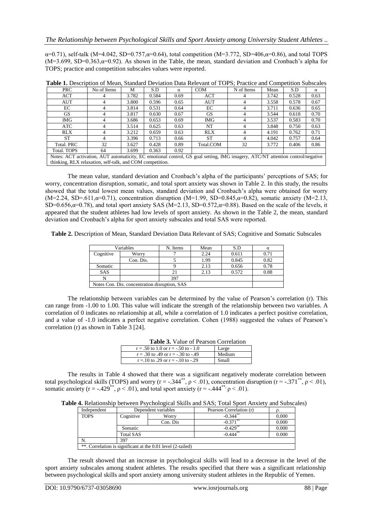$\alpha$ =0.71), self-talk (M=4.042, SD=0.757, $\alpha$ =0.64), total competition (M=3.772, SD=406, $\alpha$ =0.86), and total TOPS  $(M=3.699, SD=0.363, \alpha=0.92)$ . As shown in the Table, the mean, standard deviation and Cronbach's alpha for TOPS; practice and competition subscales values were reported.

| Tuble 1: Description of mean, bundard Deviation Data Refevant of TOTD, Fractice and Competition buoscales                      |             |       |       |          |            |            |       |       |      |
|--------------------------------------------------------------------------------------------------------------------------------|-------------|-------|-------|----------|------------|------------|-------|-------|------|
| <b>PRC</b>                                                                                                                     | No of Items | M     | S.D   | $\alpha$ | <b>COM</b> | N of Items | Mean  | S.D   | α    |
| <b>ACT</b>                                                                                                                     |             | 3.782 | 0.584 | 0.69     | ACT        |            | 3.742 | 0.528 | 0.63 |
| AUT                                                                                                                            |             | 3.800 | 0.596 | 0.65     | <b>AUT</b> |            | 3.558 | 0.578 | 0.67 |
| EC                                                                                                                             |             | 3.814 | 0.531 | 0.64     | EC         |            | 3.711 | 0.636 | 0.65 |
| GS.                                                                                                                            |             | 3.817 | 0.630 | 0.67     | GS.        |            | 3.544 | 0.618 | 0.70 |
| IMG.                                                                                                                           |             | 3.686 | 0.653 | 0.69     | IMG        |            | 3.537 | 0.583 | 0.70 |
| ATC                                                                                                                            |             | 3.514 | 0.625 | 0.63     | NT         |            | 3.848 | 0.750 | 0.63 |
| <b>RLX</b>                                                                                                                     |             | 3.212 | 0.659 | 0.63     | <b>RLX</b> |            | 4.191 | 0.762 | 0.71 |
| <b>ST</b>                                                                                                                      |             | 3.396 | 0.713 | 0.66     | <b>ST</b>  |            | 4.042 | 0.757 | 0.64 |
| Total. PRC                                                                                                                     | 32          | 3.627 | 0.428 | 0.89     | Total.COM  | 32         | 3.772 | 0.406 | 0.86 |
| Total. TOPS                                                                                                                    | 64          | 3.699 | 0.363 | 0.92     |            |            |       |       |      |
| Notes: ACT activation, AUT automaticity, EC emotional control, GS goal setting, IMG imagery, ATC/NT attention control/negative |             |       |       |          |            |            |       |       |      |
| thinking, RLX relaxation, self-talk, and COM competition.                                                                      |             |       |       |          |            |            |       |       |      |

**Table 1.** Description of Mean, Standard Deviation Data Relevant of TOPS; Practice and Competition Subscales

The mean value, standard deviation and Cronbach's alpha of the participants' perceptions of SAS; for worry, concentration disruption, somatic, and total sport anxiety was shown in Table 2. In this study, the results showed that the total lowest mean values, standard deviation and Cronbach's alpha were obtained for worry (M=2.24, SD=.611, $\alpha$ =0.71), concentration disruption (M=1.99, SD=0.845, $\alpha$ =0.82), somatic anxiety (M=2.13, SD=0.656, $\alpha$ =0.78), and total sport anxiety SAS (M=2.13, SD=0.572, $\alpha$ =0.88). Based on the scale of the levels, it appeared that the student athletes had low levels of sport anxiety. As shown in the Table 2, the mean, standard deviation and Cronbach's alpha for sport anxiety subscales and total SAS were reported.

**Table 2.** Description of Mean, Standard Deviation Data Relevant of SAS; Cognitive and Somatic Subscales

| Variables                                     |           | N. Items | Mean | S.D   | $\alpha$ |
|-----------------------------------------------|-----------|----------|------|-------|----------|
| Cognitive                                     | Worry     |          | 2.24 | 0.611 | 0.71     |
|                                               | Con. Dis. |          | 1.99 | 0.845 | 0.82     |
| Somatic                                       |           |          | 2.13 | 0.656 | 0.78     |
| <b>SAS</b>                                    |           | 21       | 2.13 | 0.572 | 0.88     |
|                                               |           | 397      |      |       |          |
| Notes Con. Dis. concentration disruption, SAS |           |          |      |       |          |

The relationship between variables can be determined by the value of Pearson's correlation (r). This can range from -1.00 to 1.00. This value will indicate the strength of the relationship between two variables. A correlation of 0 indicates no relationship at all, while a correlation of 1.0 indicates a perfect positive correlation, and a value of -1.0 indicates a perfect negative correlation. Cohen (1988) suggested the values of Pearson's correlation (r) as shown in Table 3 [\[24\]](#page-4-15).

|--|

| $r = .50$ to 1.0 or $r = -.50$ to $-1.0$ | Large  |
|------------------------------------------|--------|
| $r = .30$ to .49 or $r = -.30$ to $-.49$ | Medium |
| $r = 10$ to .29 or $r = -10$ to $-0.29$  | Small  |

The results in Table 4 showed that there was a significant negatively moderate correlation between total psychological skills (TOPS) and worry (r = -.344<sup>\*\*</sup>,  $\rho$  < .01), concentration disruption (r = -.371<sup>\*\*</sup>,  $\rho$  < .01), somatic anxiety (r = -.429<sup>\*\*</sup>,  $\rho$  < .01), and total sport anxiety (r = -.444<sup>\*\*</sup>,  $\rho$  < .01).

**Table 4.** Relationship between Psychological Skills and SAS; Total Sport Anxiety and Subscales)

| Independent                                                 | Dependent variables |          | Pearson Correlation (r) |       |  |  |
|-------------------------------------------------------------|---------------------|----------|-------------------------|-------|--|--|
| <b>TOPS</b>                                                 | Cognitive<br>Worry  |          | $-0.344$ <sup>**</sup>  | 0.000 |  |  |
|                                                             |                     | Con. Dis | $-0.371$                | 0.000 |  |  |
|                                                             | Somatic             |          | $-0.429$ <sup>**</sup>  | 0.000 |  |  |
|                                                             | Total SAS           |          | $-0.444$ <sup>**</sup>  | 0.000 |  |  |
| N.                                                          | 397                 |          |                         |       |  |  |
| **. Correlation is significant at the 0.01 level (2-tailed) |                     |          |                         |       |  |  |

The result showed that an increase in psychological skills will lead to a decrease in the level of the sport anxiety subscales among student athletes. The results specified that there was a significant relationship between psychological skills and sport anxiety among university student athletes in the Republic of Yemen.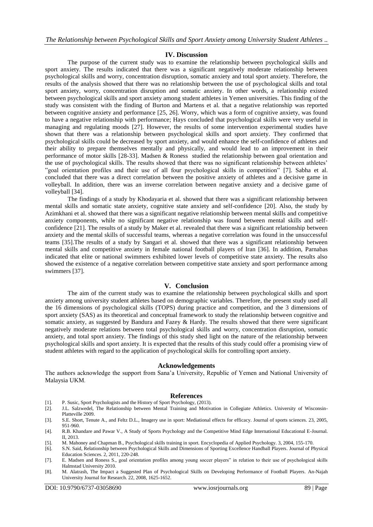## **IV. Discussion**

The purpose of the current study was to examine the relationship between psychological skills and sport anxiety. The results indicated that there was a significant negatively moderate relationship between psychological skills and worry, concentration disruption, somatic anxiety and total sport anxiety. Therefore, the results of the analysis showed that there was no relationship between the use of psychological skills and total sport anxiety, worry, concentration disruption and somatic anxiety. In other words, a relationship existed between psychological skills and sport anxiety among student athletes in Yemen universities. This finding of the study was consistent with the finding of Burton and Martens et al. that a negative relationship was reported between cognitive anxiety and performance [\[25,](#page-4-16) [26\]](#page-4-17). Worry, which was a form of cognitive anxiety, was found to have a negative relationship with performance; Hays concluded that psychological skills were very useful in managing and regulating moods [\[27\]](#page-4-18). However, the results of some intervention experimental studies have shown that there was a relationship between psychological skills and sport anxiety. They confirmed that psychological skills could be decreased by sport anxiety, and would enhance the self-confidence of athletes and their ability to prepare themselves mentally and physically, and would lead to an improvement in their performance of motor skills [\[28-33\]](#page-4-19). Madsen & Roness studied the relationship between goal orientation and the use of psychological skills. The results showed that there was no significant relationship between athletes' "goal orientation profiles and their use of all four psychological skills in competition" [\[7\]](#page-3-6). Sabha et al. concluded that there was a direct correlation between the positive anxiety of athletes and a decisive game in volleyball. In addition, there was an inverse correlation between negative anxiety and a decisive game of volleyball [\[34\]](#page-4-20).

The findings of a study by Khodayaria et al. showed that there was a significant relationship between mental skills and somatic state anxiety, cognitive state anxiety and self-confidence [\[20\]](#page-4-11). Also, the study by Azimkhani et al. showed that there was a significant negative relationship between mental skills and competitive anxiety components, while no significant negative relationship was found between mental skills and selfconfidence [\[21\]](#page-4-12). The results of a study by Maker et al. revealed that there was a significant relationship between anxiety and the mental skills of successful teams, whereas a negative correlation was found in the unsuccessful teams [\[35\]](#page-4-21).The results of a study by Sangari et al. showed that there was a significant relationship between mental skills and competitive anxiety in female national football players of Iran [\[36\]](#page-4-22). In addition, Parnabas indicated that elite or national swimmers exhibited lower levels of competitive state anxiety. The results also showed the existence of a negative correlation between competitive state anxiety and sport performance among swimmers [\[37\]](#page-4-23).

## **V. Conclusion**

The aim of the current study was to examine the relationship between psychological skills and sport anxiety among university student athletes based on demographic variables. Therefore, the present study used all the 16 dimensions of psychological skills (TOPS) during practice and competition, and the 3 dimensions of sport anxiety (SAS) as its theoretical and conceptual framework to study the relationship between cognitive and somatic anxiety, as suggested by Bandura and Fazey & Hardy. The results showed that there were significant negatively moderate relations between total psychological skills and worry, concentration disruption, somatic anxiety, and total sport anxiety. The findings of this study shed light on the nature of the relationship between psychological skills and sport anxiety. It is expected that the results of this study could offer a promising view of student athletes with regard to the application of psychological skills for controlling sport anxiety.

#### **Acknowledgements**

The authors acknowledge the support from Sana'a University, Republic of Yemen and National University of Malaysia UKM.

#### **References**

- <span id="page-3-0"></span>[1]. P. Susic, Sport Psychologists and the History of Sport Psychology, (2013).
- <span id="page-3-1"></span>[2]. J.L. Salzwedel, The Relationship between Mental Training and Motivation in Collegiate Athletics. University of Wisconsin-Platteville 2009.
- <span id="page-3-2"></span>[3]. S.E. Short, Tenute A., and Feltz D.L., Imagery use in sport: Mediational effects for efficacy*.* Journal of sports sciences. 23, 2005, 951-960.
- <span id="page-3-3"></span>[4]. R.B. Khandare and Pawar V., A Study of Sports Psychology and the Competitive Mind Edge International Educational E-Journal. II, 2013.
- <span id="page-3-4"></span>[5]. M. Mahoney and Chapman B., Psychological skills training in sport*.* Encyclopedia of Applied Psychology. 3, 2004, 155-170.
- <span id="page-3-5"></span>[6]. S.N. Said, Relationship between Psychological Skills and Dimensions of Sporting Excellence Handball Players*.* Journal of Physical Education Sciences. 2, 2011, 220-248.
- <span id="page-3-6"></span>[7]. E. Madsen and Roness S., goal orientation profiles among young soccer players" in relation to their use of psychological skills Halmstad University 2010.
- [8]. M. Alatrash, The Impact a Suggested Plan of Psychological Skills on Developing Performance of Football Players*.* An-Najah University Journal for Research. 22, 2008, 1625-1652.